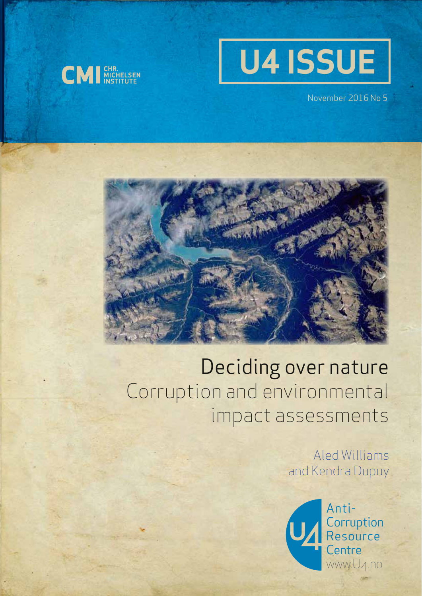



November 2016 No 5



# Deciding over nature Corruption and environmental impact assessments

Aled Williams and Kendra Dupuy

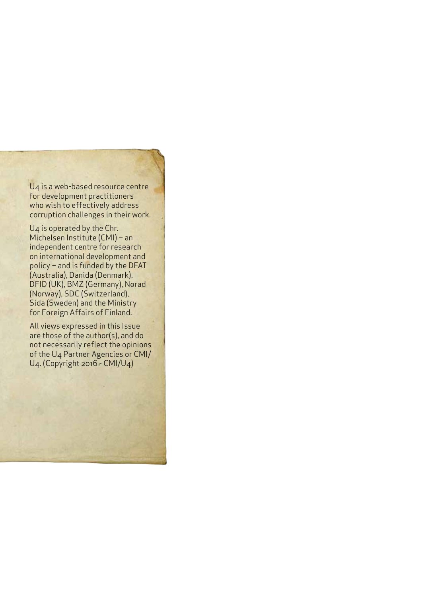U4 is a web-based resource centre for development practitioners who wish to effectively address corruption challenges in their work.

U4 is operated by the Chr. Michelsen Institute (CMI) – an independent centre for research on international development and policy – and is funded by the DFAT (Australia), Danida (Denmark), DFID (UK), BMZ (Germany), Norad (Norway), SDC (Switzerland), Sida (Sweden) and the Ministry for Foreign Affairs of Finland.

All views expressed in this Issue are those of the author(s), and do not necessarily reflect the opinions of the U4 Partner Agencies or CMI/ U4. (Copyright 2016 - CMI/U4)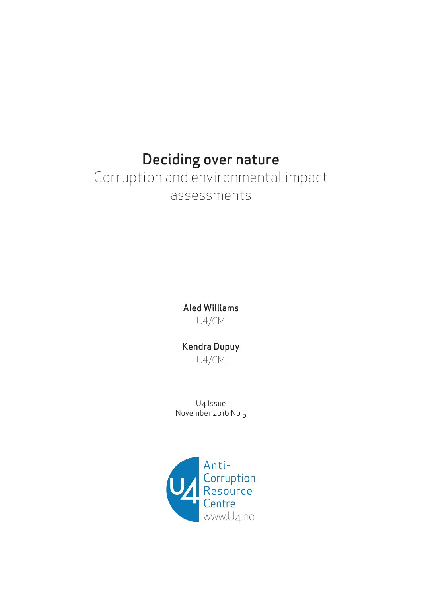## Deciding over nature

## Corruption and environmental impact assessments

Aled Williams U4/CMI

Kendra Dupuy

U4/CMI

U4 Issue November 2016 No 5

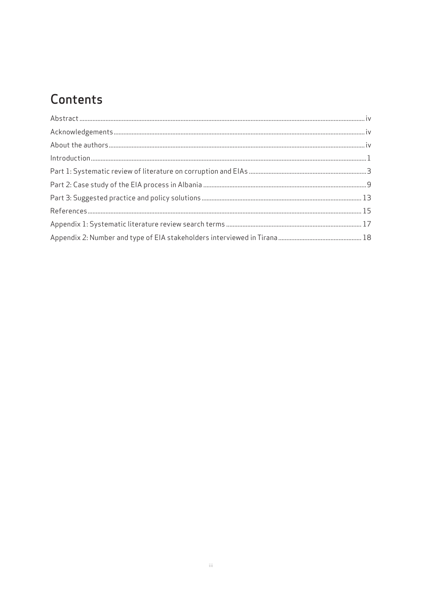## Contents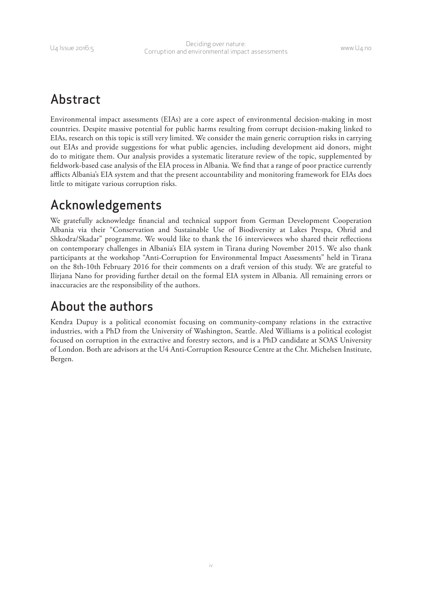### <span id="page-5-0"></span>Abstract

Environmental impact assessments (EIAs) are a core aspect of environmental decision-making in most countries. Despite massive potential for public harms resulting from corrupt decision-making linked to EIAs, research on this topic is still very limited. We consider the main generic corruption risks in carrying out EIAs and provide suggestions for what public agencies, including development aid donors, might do to mitigate them. Our analysis provides a systematic literature review of the topic, supplemented by fieldwork-based case analysis of the EIA process in Albania. We find that a range of poor practice currently afflicts Albania's EIA system and that the present accountability and monitoring framework for EIAs does little to mitigate various corruption risks.

### Acknowledgements

We gratefully acknowledge financial and technical support from German Development Cooperation Albania via their "Conservation and Sustainable Use of Biodiversity at Lakes Prespa, Ohrid and Shkodra/Skadar" programme. We would like to thank the 16 interviewees who shared their reflections on contemporary challenges in Albania's EIA system in Tirana during November 2015. We also thank participants at the workshop "Anti-Corruption for Environmental Impact Assessments" held in Tirana on the 8th-10th February 2016 for their comments on a draft version of this study. We are grateful to Ilirjana Nano for providing further detail on the formal EIA system in Albania. All remaining errors or inaccuracies are the responsibility of the authors.

### About the authors

Kendra Dupuy is a political economist focusing on community-company relations in the extractive industries, with a PhD from the University of Washington, Seattle. Aled Williams is a political ecologist focused on corruption in the extractive and forestry sectors, and is a PhD candidate at SOAS University of London. Both are advisors at the U4 Anti-Corruption Resource Centre at the Chr. Michelsen Institute, Bergen.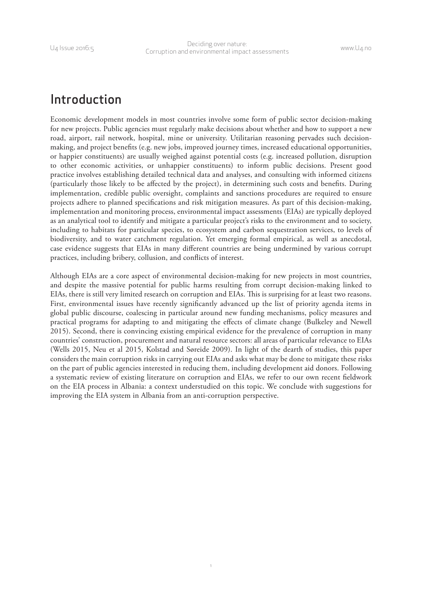### <span id="page-6-0"></span>Introduction

Economic development models in most countries involve some form of public sector decision-making for new projects. Public agencies must regularly make decisions about whether and how to support a new road, airport, rail network, hospital, mine or university. Utilitarian reasoning pervades such decisionmaking, and project benefits (e.g. new jobs, improved journey times, increased educational opportunities, or happier constituents) are usually weighed against potential costs (e.g. increased pollution, disruption to other economic activities, or unhappier constituents) to inform public decisions. Present good practice involves establishing detailed technical data and analyses, and consulting with informed citizens (particularly those likely to be affected by the project), in determining such costs and benefits. During implementation, credible public oversight, complaints and sanctions procedures are required to ensure projects adhere to planned specifications and risk mitigation measures. As part of this decision-making, implementation and monitoring process, environmental impact assessments (EIAs) are typically deployed as an analytical tool to identify and mitigate a particular project's risks to the environment and to society, including to habitats for particular species, to ecosystem and carbon sequestration services, to levels of biodiversity, and to water catchment regulation. Yet emerging formal empirical, as well as anecdotal, case evidence suggests that EIAs in many different countries are being undermined by various corrupt practices, including bribery, collusion, and conflicts of interest.

Although EIAs are a core aspect of environmental decision-making for new projects in most countries, and despite the massive potential for public harms resulting from corrupt decision-making linked to EIAs, there is still very limited research on corruption and EIAs. This is surprising for at least two reasons. First, environmental issues have recently significantly advanced up the list of priority agenda items in global public discourse, coalescing in particular around new funding mechanisms, policy measures and practical programs for adapting to and mitigating the effects of climate change (Bulkeley and Newell 2015). Second, there is convincing existing empirical evidence for the prevalence of corruption in many countries' construction, procurement and natural resource sectors: all areas of particular relevance to EIAs (Wells 2015, Neu et al 2015, Kolstad and Søreide 2009). In light of the dearth of studies, this paper considers the main corruption risks in carrying out EIAs and asks what may be done to mitigate these risks on the part of public agencies interested in reducing them, including development aid donors. Following a systematic review of existing literature on corruption and EIAs, we refer to our own recent fieldwork on the EIA process in Albania: a context understudied on this topic. We conclude with suggestions for improving the EIA system in Albania from an anti-corruption perspective.

1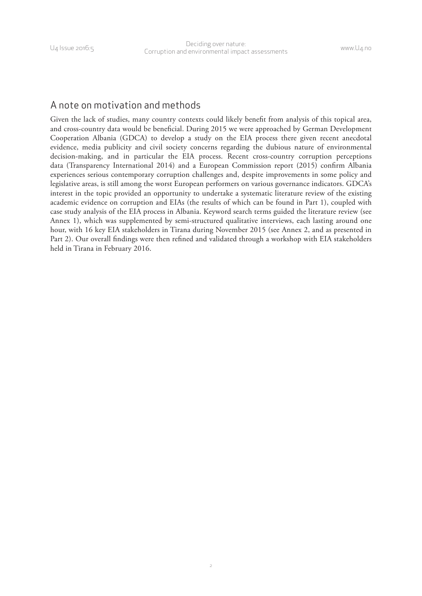#### A note on motivation and methods

Given the lack of studies, many country contexts could likely benefit from analysis of this topical area, and cross-country data would be beneficial. During 2015 we were approached by German Development Cooperation Albania (GDCA) to develop a study on the EIA process there given recent anecdotal evidence, media publicity and civil society concerns regarding the dubious nature of environmental decision-making, and in particular the EIA process. Recent cross-country corruption perceptions data (Transparency International 2014) and a European Commission report (2015) confirm Albania experiences serious contemporary corruption challenges and, despite improvements in some policy and legislative areas, is still among the worst European performers on various governance indicators. GDCA's interest in the topic provided an opportunity to undertake a systematic literature review of the existing academic evidence on corruption and EIAs (the results of which can be found in Part 1), coupled with case study analysis of the EIA process in Albania. Keyword search terms guided the literature review (see Annex 1), which was supplemented by semi-structured qualitative interviews, each lasting around one hour, with 16 key EIA stakeholders in Tirana during November 2015 (see Annex 2, and as presented in Part 2). Our overall findings were then refined and validated through a workshop with EIA stakeholders held in Tirana in February 2016.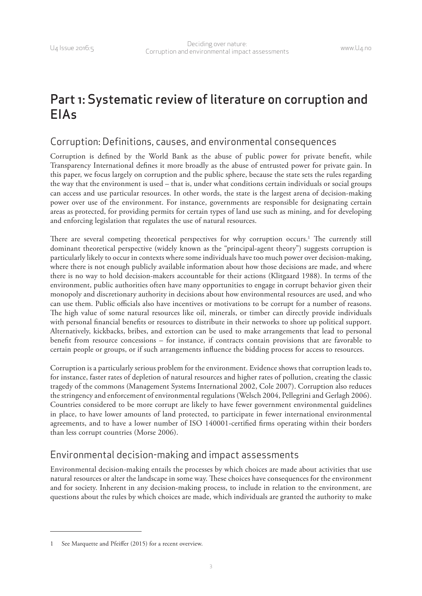## <span id="page-8-0"></span>Part 1: Systematic review of literature on corruption and EIAs

#### Corruption: Definitions, causes, and environmental consequences

Corruption is defined by the World Bank as the abuse of public power for private benefit, while Transparency International defines it more broadly as the abuse of entrusted power for private gain. In this paper, we focus largely on corruption and the public sphere, because the state sets the rules regarding the way that the environment is used – that is, under what conditions certain individuals or social groups can access and use particular resources. In other words, the state is the largest arena of decision-making power over use of the environment. For instance, governments are responsible for designating certain areas as protected, for providing permits for certain types of land use such as mining, and for developing and enforcing legislation that regulates the use of natural resources.

There are several competing theoretical perspectives for why corruption occurs.<sup>1</sup> The currently still dominant theoretical perspective (widely known as the "principal-agent theory") suggests corruption is particularly likely to occur in contexts where some individuals have too much power over decision-making, where there is not enough publicly available information about how those decisions are made, and where there is no way to hold decision-makers accountable for their actions (Klitgaard 1988). In terms of the environment, public authorities often have many opportunities to engage in corrupt behavior given their monopoly and discretionary authority in decisions about how environmental resources are used, and who can use them. Public officials also have incentives or motivations to be corrupt for a number of reasons. The high value of some natural resources like oil, minerals, or timber can directly provide individuals with personal financial benefits or resources to distribute in their networks to shore up political support. Alternatively, kickbacks, bribes, and extortion can be used to make arrangements that lead to personal benefit from resource concessions – for instance, if contracts contain provisions that are favorable to certain people or groups, or if such arrangements influence the bidding process for access to resources.

Corruption is a particularly serious problem for the environment. Evidence shows that corruption leads to, for instance, faster rates of depletion of natural resources and higher rates of pollution, creating the classic tragedy of the commons (Management Systems International 2002, Cole 2007). Corruption also reduces the stringency and enforcement of environmental regulations (Welsch 2004, Pellegrini and Gerlagh 2006). Countries considered to be more corrupt are likely to have fewer government environmental guidelines in place, to have lower amounts of land protected, to participate in fewer international environmental agreements, and to have a lower number of ISO 140001-certified firms operating within their borders than less corrupt countries (Morse 2006).

### Environmental decision-making and impact assessments

Environmental decision-making entails the processes by which choices are made about activities that use natural resources or alter the landscape in some way. These choices have consequences for the environment and for society. Inherent in any decision-making process, to include in relation to the environment, are questions about the rules by which choices are made, which individuals are granted the authority to make

<sup>1</sup> See Marquette and Pfeiffer (2015) for a recent overview.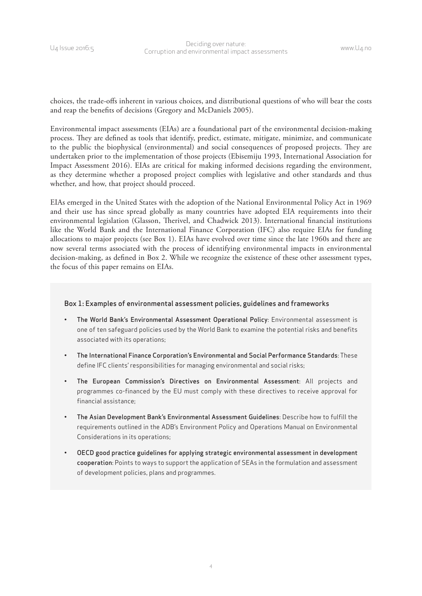choices, the trade-offs inherent in various choices, and distributional questions of who will bear the costs and reap the benefits of decisions (Gregory and McDaniels 2005).

Environmental impact assessments (EIAs) are a foundational part of the environmental decision-making process. They are defined as tools that identify, predict, estimate, mitigate, minimize, and communicate to the public the biophysical (environmental) and social consequences of proposed projects. They are undertaken prior to the implementation of those projects (Ebisemiju 1993, International Association for Impact Assessment 2016). EIAs are critical for making informed decisions regarding the environment, as they determine whether a proposed project complies with legislative and other standards and thus whether, and how, that project should proceed.

EIAs emerged in the United States with the adoption of the National Environmental Policy Act in 1969 and their use has since spread globally as many countries have adopted EIA requirements into their environmental legislation (Glasson, Therivel, and Chadwick 2013). International financial institutions like the World Bank and the International Finance Corporation (IFC) also require EIAs for funding allocations to major projects (see Box 1). EIAs have evolved over time since the late 1960s and there are now several terms associated with the process of identifying environmental impacts in environmental decision-making, as defined in Box 2. While we recognize the existence of these other assessment types, the focus of this paper remains on EIAs.

#### Box 1: Examples of environmental assessment policies, guidelines and frameworks

- The World Bank's Environmental Assessment Operational Policy: Environmental assessment is one of ten safeguard policies used by the World Bank to examine the potential risks and benefits associated with its operations;
- The International Finance Corporation's Environmental and Social Performance Standards: These define IFC clients' responsibilities for managing environmental and social risks;
- The European Commission's Directives on Environmental Assessment: All projects and programmes co-financed by the EU must comply with these directives to receive approval for financial assistance;
- The Asian Development Bank's Environmental Assessment Guidelines: Describe how to fulfill the requirements outlined in the ADB's Environment Policy and Operations Manual on Environmental Considerations in its operations;
- OECD good practice guidelines for applying strategic environmental assessment in development cooperation: Points to ways to support the application of SEAs in the formulation and assessment of development policies, plans and programmes.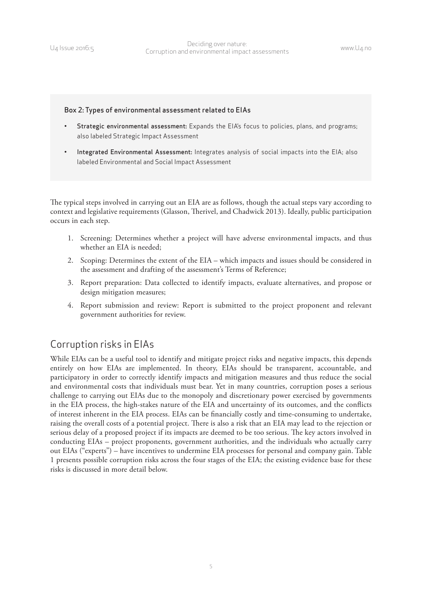#### Box 2: Types of environmental assessment related to EIAs

- Strategic environmental assessment: Expands the EIA's focus to policies, plans, and programs; also labeled Strategic Impact Assessment
- Integrated Environmental Assessment: Integrates analysis of social impacts into the EIA; also labeled Environmental and Social Impact Assessment

The typical steps involved in carrying out an EIA are as follows, though the actual steps vary according to context and legislative requirements (Glasson, Therivel, and Chadwick 2013). Ideally, public participation occurs in each step.

- 1. Screening: Determines whether a project will have adverse environmental impacts, and thus whether an EIA is needed;
- 2. Scoping: Determines the extent of the EIA which impacts and issues should be considered in the assessment and drafting of the assessment's Terms of Reference;
- 3. Report preparation: Data collected to identify impacts, evaluate alternatives, and propose or design mitigation measures;
- 4. Report submission and review: Report is submitted to the project proponent and relevant government authorities for review.

### Corruption risks in EIAs

While EIAs can be a useful tool to identify and mitigate project risks and negative impacts, this depends entirely on how EIAs are implemented. In theory, EIAs should be transparent, accountable, and participatory in order to correctly identify impacts and mitigation measures and thus reduce the social and environmental costs that individuals must bear. Yet in many countries, corruption poses a serious challenge to carrying out EIAs due to the monopoly and discretionary power exercised by governments in the EIA process, the high-stakes nature of the EIA and uncertainty of its outcomes, and the conflicts of interest inherent in the EIA process. EIAs can be financially costly and time-consuming to undertake, raising the overall costs of a potential project. There is also a risk that an EIA may lead to the rejection or serious delay of a proposed project if its impacts are deemed to be too serious. The key actors involved in conducting EIAs – project proponents, government authorities, and the individuals who actually carry out EIAs ("experts") – have incentives to undermine EIA processes for personal and company gain. Table 1 presents possible corruption risks across the four stages of the EIA; the existing evidence base for these risks is discussed in more detail below.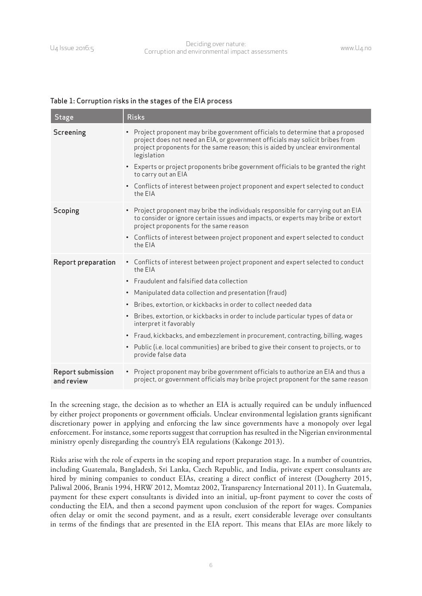#### Table 1: Corruption risks in the stages of the EIA process

| <b>Stage</b>                    | <b>Risks</b>                                                                                                                                                                                                                                                                                                                                                                                                                                                                                                                                                                                        |
|---------------------------------|-----------------------------------------------------------------------------------------------------------------------------------------------------------------------------------------------------------------------------------------------------------------------------------------------------------------------------------------------------------------------------------------------------------------------------------------------------------------------------------------------------------------------------------------------------------------------------------------------------|
| Screening                       | • Project proponent may bribe government officials to determine that a proposed<br>project does not need an EIA, or government officials may solicit bribes from<br>project proponents for the same reason; this is aided by unclear environmental<br>legislation<br>• Experts or project proponents bribe government officials to be granted the right<br>to carry out an EIA<br>• Conflicts of interest between project proponent and expert selected to conduct<br>the EIA                                                                                                                       |
| Scoping                         | • Project proponent may bribe the individuals responsible for carrying out an EIA<br>to consider or ignore certain issues and impacts, or experts may bribe or extort<br>project proponents for the same reason<br>• Conflicts of interest between project proponent and expert selected to conduct<br>the EIA                                                                                                                                                                                                                                                                                      |
| <b>Report preparation</b>       | • Conflicts of interest between project proponent and expert selected to conduct<br>the EIA<br>• Fraudulent and falsified data collection<br>• Manipulated data collection and presentation (fraud)<br>Bribes, extortion, or kickbacks in order to collect needed data<br>Bribes, extortion, or kickbacks in order to include particular types of data or<br>$\bullet$<br>interpret it favorably<br>• Fraud, kickbacks, and embezzlement in procurement, contracting, billing, wages<br>• Public (i.e. local communities) are bribed to give their consent to projects, or to<br>provide false data |
| Report submission<br>and review | • Project proponent may bribe government officials to authorize an EIA and thus a<br>project, or government officials may bribe project proponent for the same reason                                                                                                                                                                                                                                                                                                                                                                                                                               |

In the screening stage, the decision as to whether an EIA is actually required can be unduly influenced by either project proponents or government officials. Unclear environmental legislation grants significant discretionary power in applying and enforcing the law since governments have a monopoly over legal enforcement. For instance, some reports suggest that corruption has resulted in the Nigerian environmental ministry openly disregarding the country's EIA regulations (Kakonge 2013).

Risks arise with the role of experts in the scoping and report preparation stage. In a number of countries, including Guatemala, Bangladesh, Sri Lanka, Czech Republic, and India, private expert consultants are hired by mining companies to conduct EIAs, creating a direct conflict of interest (Dougherty 2015, Paliwal 2006, Branis 1994, HRW 2012, Momtaz 2002, Transparency International 2011). In Guatemala, payment for these expert consultants is divided into an initial, up-front payment to cover the costs of conducting the EIA, and then a second payment upon conclusion of the report for wages. Companies often delay or omit the second payment, and as a result, exert considerable leverage over consultants in terms of the findings that are presented in the EIA report. This means that EIAs are more likely to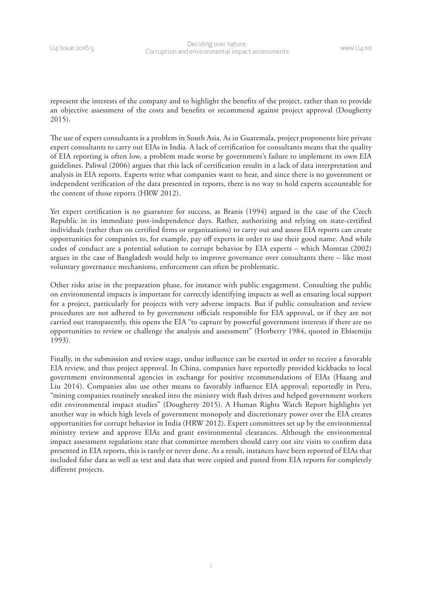represent the interests of the company and to highlight the benefits of the project, rather than to provide an objective assessment of the costs and benefits or recommend against project approval (Dougherty 2015).

The use of expert consultants is a problem in South Asia. As in Guatemala, project proponents hire private expert consultants to carry out EIAs in India. A lack of certification for consultants means that the quality of EIA reporting is often low, a problem made worse by government's failure to implement its own EIA guidelines. Paliwal (2006) argues that this lack of certification results in a lack of data interpretation and analysis in EIA reports. Experts write what companies want to hear, and since there is no government or independent verification of the data presented in reports, there is no way to hold experts accountable for the content of those reports (HRW 2012).

Yet expert certification is no guarantee for success, as Branis (1994) argued in the case of the Czech Republic in its immediate post-independence days. Rather, authorizing and relying on state-certified individuals (rather than on certified firms or organizations) to carry out and assess EIA reports can create opportunities for companies to, for example, pay off experts in order to use their good name. And while codes of conduct are a potential solution to corrupt behavior by EIA experts – which Momtaz (2002) argues in the case of Bangladesh would help to improve governance over consultants there – like most voluntary governance mechanisms, enforcement can often be problematic.

Other risks arise in the preparation phase, for instance with public engagement. Consulting the public on environmental impacts is important for correctly identifying impacts as well as ensuring local support for a project, particularly for projects with very adverse impacts. But if public consultation and review procedures are not adhered to by government officials responsible for EIA approval, or if they are not carried out transparently, this opens the EIA "to capture by powerful government interests if there are no opportunities to review or challenge the analysis and assessment" (Horberry 1984, quoted in Ebisemiju 1993).

Finally, in the submission and review stage, undue influence can be exerted in order to receive a favorable EIA review, and thus project approval. In China, companies have reportedly provided kickbacks to local government environmental agencies in exchange for positive recommendations of EIAs (Huang and Liu 2014). Companies also use other means to favorably influence EIA approval; reportedly in Peru, "mining companies routinely sneaked into the ministry with flash drives and helped government workers edit environmental impact studies" (Dougherty 2015). A Human Rights Watch Report highlights yet another way in which high levels of government monopoly and discretionary power over the EIA creates opportunities for corrupt behavior in India (HRW 2012). Expert committees set up by the environmental ministry review and approve EIAs and grant environmental clearances. Although the environmental impact assessment regulations state that committee members should carry out site visits to confirm data presented in EIA reports, this is rarely or never done. As a result, instances have been reported of EIAs that included false data as well as text and data that were copied and pasted from EIA reports for completely different projects.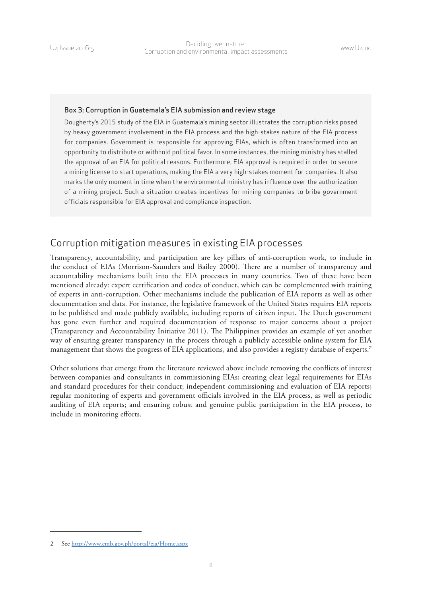#### Box 3: Corruption in Guatemala's EIA submission and review stage

Dougherty's 2015 study of the EIA in Guatemala's mining sector illustrates the corruption risks posed by heavy government involvement in the EIA process and the high-stakes nature of the EIA process for companies. Government is responsible for approving EIAs, which is often transformed into an opportunity to distribute or withhold political favor. In some instances, the mining ministry has stalled the approval of an EIA for political reasons. Furthermore, EIA approval is required in order to secure a mining license to start operations, making the EIA a very high-stakes moment for companies. It also marks the only moment in time when the environmental ministry has influence over the authorization of a mining project. Such a situation creates incentives for mining companies to bribe government officials responsible for EIA approval and compliance inspection.

#### Corruption mitigation measures in existing EIA processes

Transparency, accountability, and participation are key pillars of anti-corruption work, to include in the conduct of EIAs (Morrison-Saunders and Bailey 2000). There are a number of transparency and accountability mechanisms built into the EIA processes in many countries. Two of these have been mentioned already: expert certification and codes of conduct, which can be complemented with training of experts in anti-corruption. Other mechanisms include the publication of EIA reports as well as other documentation and data. For instance, the legislative framework of the United States requires EIA reports to be published and made publicly available, including reports of citizen input. The Dutch government has gone even further and required documentation of response to major concerns about a project (Transparency and Accountability Initiative 2011). The Philippines provides an example of yet another way of ensuring greater transparency in the process through a publicly accessible online system for EIA management that shows the progress of EIA applications, and also provides a registry database of experts.<sup>2</sup>

Other solutions that emerge from the literature reviewed above include removing the conflicts of interest between companies and consultants in commissioning EIAs; creating clear legal requirements for EIAs and standard procedures for their conduct; independent commissioning and evaluation of EIA reports; regular monitoring of experts and government officials involved in the EIA process, as well as periodic auditing of EIA reports; and ensuring robust and genuine public participation in the EIA process, to include in monitoring efforts.

<sup>2</sup> See <http://www.emb.gov.ph/portal/eia/Home.aspx>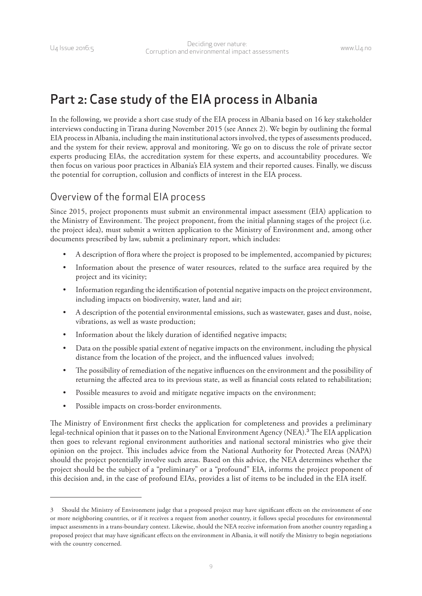### <span id="page-14-0"></span>Part 2: Case study of the EIA process in Albania

In the following, we provide a short case study of the EIA process in Albania based on 16 key stakeholder interviews conducting in Tirana during November 2015 (see Annex 2). We begin by outlining the formal EIA process in Albania, including the main institutional actors involved, the types of assessments produced, and the system for their review, approval and monitoring. We go on to discuss the role of private sector experts producing EIAs, the accreditation system for these experts, and accountability procedures. We then focus on various poor practices in Albania's EIA system and their reported causes. Finally, we discuss the potential for corruption, collusion and conflicts of interest in the EIA process.

#### Overview of the formal EIA process

Since 2015, project proponents must submit an environmental impact assessment (EIA) application to the Ministry of Environment. The project proponent, from the initial planning stages of the project (i.e. the project idea), must submit a written application to the Ministry of Environment and, among other documents prescribed by law, submit a preliminary report, which includes:

- A description of flora where the project is proposed to be implemented, accompanied by pictures;
- Information about the presence of water resources, related to the surface area required by the project and its vicinity;
- Information regarding the identification of potential negative impacts on the project environment, including impacts on biodiversity, water, land and air;
- A description of the potential environmental emissions, such as wastewater, gases and dust, noise, vibrations, as well as waste production;
- Information about the likely duration of identified negative impacts;
- Data on the possible spatial extent of negative impacts on the environment, including the physical distance from the location of the project, and the influenced values involved;
- The possibility of remediation of the negative influences on the environment and the possibility of returning the affected area to its previous state, as well as financial costs related to rehabilitation;
- Possible measures to avoid and mitigate negative impacts on the environment;
- Possible impacts on cross-border environments.

The Ministry of Environment first checks the application for completeness and provides a preliminary legal-technical opinion that it passes on to the National Environment Agency (NEA).<sup>3</sup> The EIA application then goes to relevant regional environment authorities and national sectoral ministries who give their opinion on the project. This includes advice from the National Authority for Protected Areas (NAPA) should the project potentially involve such areas. Based on this advice, the NEA determines whether the project should be the subject of a "preliminary" or a "profound" EIA, informs the project proponent of this decision and, in the case of profound EIAs, provides a list of items to be included in the EIA itself.

<sup>3</sup> Should the Ministry of Environment judge that a proposed project may have significant effects on the environment of one or more neighboring countries, or if it receives a request from another country, it follows special procedures for environmental impact assessments in a trans-boundary context. Likewise, should the NEA receive information from another country regarding a proposed project that may have significant effects on the environment in Albania, it will notify the Ministry to begin negotiations with the country concerned.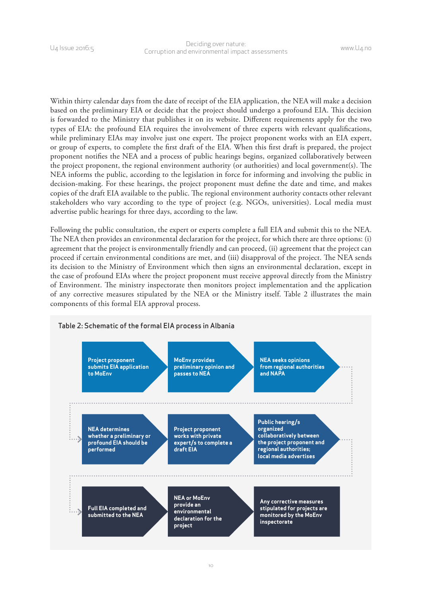Within thirty calendar days from the date of receipt of the EIA application, the NEA will make a decision based on the preliminary EIA or decide that the project should undergo a profound EIA. This decision is forwarded to the Ministry that publishes it on its website. Different requirements apply for the two types of EIA: the profound EIA requires the involvement of three experts with relevant qualifications, while preliminary EIAs may involve just one expert. The project proponent works with an EIA expert, or group of experts, to complete the first draft of the EIA. When this first draft is prepared, the project proponent notifies the NEA and a process of public hearings begins, organized collaboratively between the project proponent, the regional environment authority (or authorities) and local government(s). The NEA informs the public, according to the legislation in force for informing and involving the public in decision-making. For these hearings, the project proponent must define the date and time, and makes copies of the draft EIA available to the public. The regional environment authority contacts other relevant stakeholders who vary according to the type of project (e.g. NGOs, universities). Local media must advertise public hearings for three days, according to the law.

Following the public consultation, the expert or experts complete a full EIA and submit this to the NEA. The NEA then provides an environmental declaration for the project, for which there are three options: (i) agreement that the project is environmentally friendly and can proceed, (ii) agreement that the project can proceed if certain environmental conditions are met, and (iii) disapproval of the project. The NEA sends its decision to the Ministry of Environment which then signs an environmental declaration, except in the case of profound EIAs where the project proponent must receive approval directly from the Ministry of Environment. The ministry inspectorate then monitors project implementation and the application of any corrective measures stipulated by the NEA or the Ministry itself. Table 2 illustrates the main components of this formal EIA approval process.

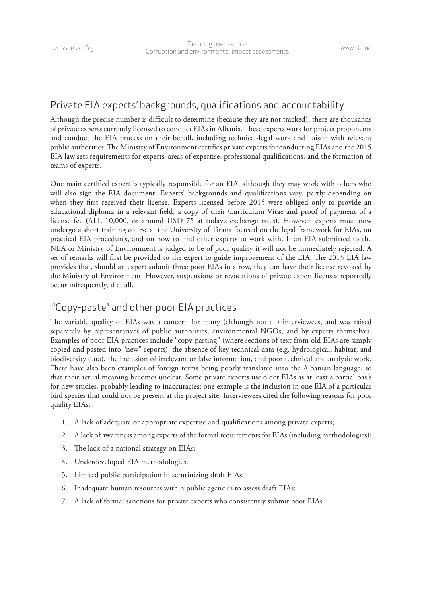### Private EIA experts' backgrounds, qualifications and accountability

Although the precise number is difficult to determine (because they are not tracked), there are thousands of private experts currently licensed to conduct EIAs in Albania. These experts work for project proponents and conduct the EIA process on their behalf, including technical-legal work and liaison with relevant public authorities. The Ministry of Environment certifies private experts for conducting EIAs and the 2015 EIA law sets requirements for experts' areas of expertise, professional qualifications, and the formation of teams of experts.

One main certified expert is typically responsible for an EIA, although they may work with others who will also sign the EIA document. Experts' backgrounds and qualifications vary, partly depending on when they first received their license. Experts licensed before 2015 were obliged only to provide an educational diploma in a relevant field, a copy of their Curriculum Vitae and proof of payment of a license fee (ALL 10,000, or around USD 75 at today's exchange rates). However, experts must now undergo a short training course at the University of Tirana focused on the legal framework for EIAs, on practical EIA procedures, and on how to find other experts to work with. If an EIA submitted to the NEA or Ministry of Environment is judged to be of poor quality it will not be immediately rejected. A set of remarks will first be provided to the expert to guide improvement of the EIA. The 2015 EIA law provides that, should an expert submit three poor EIAs in a row, they can have their license revoked by the Ministry of Environment. However, suspensions or revocations of private expert licenses reportedly occur infrequently, if at all.

### "Copy-paste" and other poor EIA practices

The variable quality of EIAs was a concern for many (although not all) interviewees, and was raised separately by representatives of public authorities, environmental NGOs, and by experts themselves. Examples of poor EIA practices include "copy-pasting" (where sections of text from old EIAs are simply copied and pasted into "new" reports), the absence of key technical data (e.g. hydrological, habitat, and biodiversity data), the inclusion of irrelevant or false information, and poor technical and analytic work. There have also been examples of foreign terms being poorly translated into the Albanian language, so that their actual meaning becomes unclear. Some private experts use older EIAs as at least a partial basis for new studies, probably leading to inaccuracies: one example is the inclusion in one EIA of a particular bird species that could not be present at the project site. Interviewees cited the following reasons for poor quality EIAs:

- 1. A lack of adequate or appropriate expertise and qualifications among private experts;
- 2. A lack of awareness among experts of the formal requirements for EIAs (including methodologies);
- 3. The lack of a national strategy on EIAs;
- 4. Underdeveloped EIA methodologies;
- 5. Limited public participation in scrutinizing draft EIAs;
- 6. Inadequate human resources within public agencies to assess draft EIAs;
- 7. A lack of formal sanctions for private experts who consistently submit poor EIAs.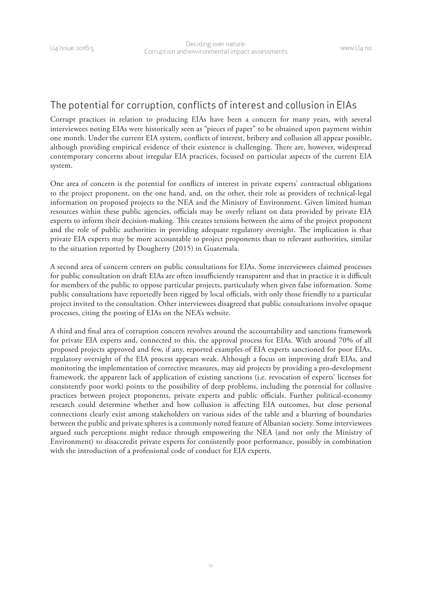#### The potential for corruption, conflicts of interest and collusion in EIAs

Corrupt practices in relation to producing EIAs have been a concern for many years, with several interviewees noting EIAs were historically seen as "pieces of paper" to be obtained upon payment within one month. Under the current EIA system, conflicts of interest, bribery and collusion all appear possible, although providing empirical evidence of their existence is challenging. There are, however, widespread contemporary concerns about irregular EIA practices, focused on particular aspects of the current EIA system.

One area of concern is the potential for conflicts of interest in private experts' contractual obligations to the project proponent, on the one hand, and, on the other, their role as providers of technical-legal information on proposed projects to the NEA and the Ministry of Environment. Given limited human resources within these public agencies, officials may be overly reliant on data provided by private EIA experts to inform their decision-making. This creates tensions between the aims of the project proponent and the role of public authorities in providing adequate regulatory oversight. The implication is that private EIA experts may be more accountable to project proponents than to relevant authorities, similar to the situation reported by Dougherty (2015) in Guatemala.

A second area of concern centers on public consultations for EIAs. Some interviewees claimed processes for public consultation on draft EIAs are often insufficiently transparent and that in practice it is difficult for members of the public to oppose particular projects, particularly when given false information. Some public consultations have reportedly been rigged by local officials, with only those friendly to a particular project invited to the consultation. Other interviewees disagreed that public consultations involve opaque processes, citing the posting of EIAs on the NEA's website.

A third and final area of corruption concern revolves around the accountability and sanctions framework for private EIA experts and, connected to this, the approval process for EIAs. With around 70% of all proposed projects approved and few, if any, reported examples of EIA experts sanctioned for poor EIAs, regulatory oversight of the EIA process appears weak. Although a focus on improving draft EIAs, and monitoring the implementation of corrective measures, may aid projects by providing a pro-development framework, the apparent lack of application of existing sanctions (i.e. revocation of experts' licenses for consistently poor work) points to the possibility of deep problems, including the potential for collusive practices between project proponents, private experts and public officials. Further political-economy research could determine whether and how collusion is affecting EIA outcomes, but close personal connections clearly exist among stakeholders on various sides of the table and a blurring of boundaries between the public and private spheres is a commonly noted feature of Albanian society. Some interviewees argued such perceptions might reduce through empowering the NEA (and not only the Ministry of Environment) to disaccredit private experts for consistently poor performance, possibly in combination with the introduction of a professional code of conduct for EIA experts.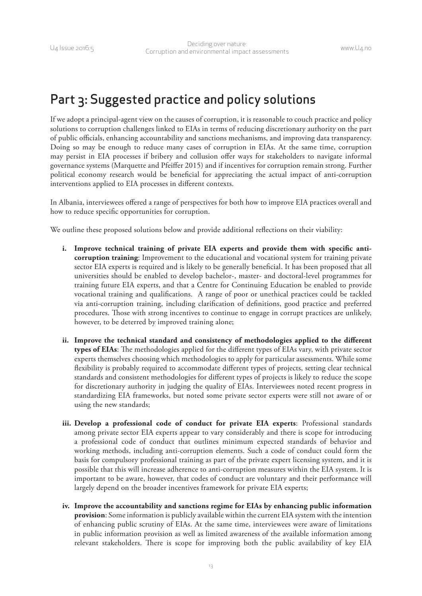### <span id="page-18-0"></span>Part 3: Suggested practice and policy solutions

If we adopt a principal-agent view on the causes of corruption, it is reasonable to couch practice and policy solutions to corruption challenges linked to EIAs in terms of reducing discretionary authority on the part of public officials, enhancing accountability and sanctions mechanisms, and improving data transparency. Doing so may be enough to reduce many cases of corruption in EIAs. At the same time, corruption may persist in EIA processes if bribery and collusion offer ways for stakeholders to navigate informal governance systems (Marquette and Pfeiffer 2015) and if incentives for corruption remain strong. Further political economy research would be beneficial for appreciating the actual impact of anti-corruption interventions applied to EIA processes in different contexts.

In Albania, interviewees offered a range of perspectives for both how to improve EIA practices overall and how to reduce specific opportunities for corruption.

We outline these proposed solutions below and provide additional reflections on their viability:

- **i. Improve technical training of private EIA experts and provide them with specific anticorruption training**: Improvement to the educational and vocational system for training private sector EIA experts is required and is likely to be generally beneficial. It has been proposed that all universities should be enabled to develop bachelor-, master- and doctoral-level programmes for training future EIA experts, and that a Centre for Continuing Education be enabled to provide vocational training and qualifications. A range of poor or unethical practices could be tackled via anti-corruption training, including clarification of definitions, good practice and preferred procedures. Those with strong incentives to continue to engage in corrupt practices are unlikely, however, to be deterred by improved training alone;
- **ii. Improve the technical standard and consistency of methodologies applied to the different types of EIAs**: The methodologies applied for the different types of EIAs vary, with private sector experts themselves choosing which methodologies to apply for particular assessments. While some flexibility is probably required to accommodate different types of projects, setting clear technical standards and consistent methodologies for different types of projects is likely to reduce the scope for discretionary authority in judging the quality of EIAs. Interviewees noted recent progress in standardizing EIA frameworks, but noted some private sector experts were still not aware of or using the new standards;
- **iii. Develop a professional code of conduct for private EIA experts**: Professional standards among private sector EIA experts appear to vary considerably and there is scope for introducing a professional code of conduct that outlines minimum expected standards of behavior and working methods, including anti-corruption elements. Such a code of conduct could form the basis for compulsory professional training as part of the private expert licensing system, and it is possible that this will increase adherence to anti-corruption measures within the EIA system. It is important to be aware, however, that codes of conduct are voluntary and their performance will largely depend on the broader incentives framework for private EIA experts;
- **iv. Improve the accountability and sanctions regime for EIAs by enhancing public information provision**: Some information is publicly available within the current EIA system with the intention of enhancing public scrutiny of EIAs. At the same time, interviewees were aware of limitations in public information provision as well as limited awareness of the available information among relevant stakeholders. There is scope for improving both the public availability of key EIA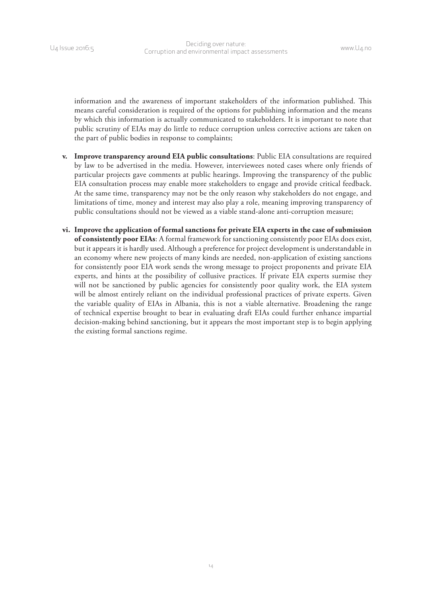information and the awareness of important stakeholders of the information published. This means careful consideration is required of the options for publishing information and the means by which this information is actually communicated to stakeholders. It is important to note that public scrutiny of EIAs may do little to reduce corruption unless corrective actions are taken on the part of public bodies in response to complaints;

- **v. Improve transparency around EIA public consultations**: Public EIA consultations are required by law to be advertised in the media. However, interviewees noted cases where only friends of particular projects gave comments at public hearings. Improving the transparency of the public EIA consultation process may enable more stakeholders to engage and provide critical feedback. At the same time, transparency may not be the only reason why stakeholders do not engage, and limitations of time, money and interest may also play a role, meaning improving transparency of public consultations should not be viewed as a viable stand-alone anti-corruption measure;
- **vi. Improve the application of formal sanctions for private EIA experts in the case of submission of consistently poor EIAs**: A formal framework for sanctioning consistently poor EIAs does exist, but it appears it is hardly used. Although a preference for project development is understandable in an economy where new projects of many kinds are needed, non-application of existing sanctions for consistently poor EIA work sends the wrong message to project proponents and private EIA experts, and hints at the possibility of collusive practices. If private EIA experts surmise they will not be sanctioned by public agencies for consistently poor quality work, the EIA system will be almost entirely reliant on the individual professional practices of private experts. Given the variable quality of EIAs in Albania, this is not a viable alternative. Broadening the range of technical expertise brought to bear in evaluating draft EIAs could further enhance impartial decision-making behind sanctioning, but it appears the most important step is to begin applying the existing formal sanctions regime.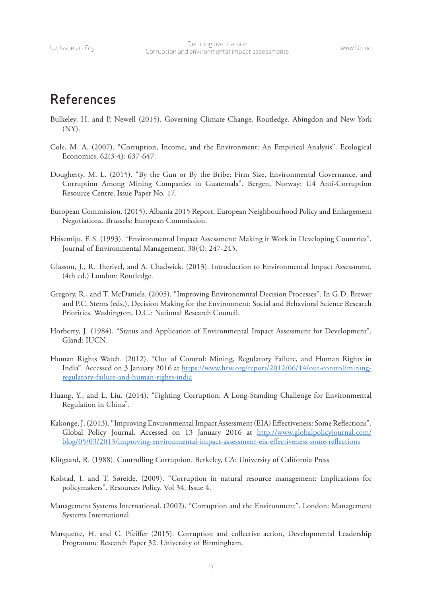### <span id="page-20-0"></span>References

- Bulkeley, H. and P. Newell (2015). Governing Climate Change. Routledge. Abingdon and New York (NY).
- Cole, M. A. (2007). "Corruption, Income, and the Environment: An Empirical Analysis". Ecological Economics, 62(3-4): 637-647.
- Dougherty, M. L. (2015). "By the Gun or By the Bribe: Firm Size, Environmental Governance, and Corruption Among Mining Companies in Guatemala". Bergen, Norway: U4 Anti-Corruption Resource Centre, Issue Paper No. 17.
- European Commission. (2015). Albania 2015 Report. European Neighbourhood Policy and Enlargement Negotiations. Brussels: European Commission.
- Ebisemiju, F. S. (1993). "Environmental Impact Assessment: Making it Work in Developing Countries". Journal of Environmental Management, 38(4): 247-243.
- Glasson, J., R. Therivel, and A. Chadwick. (2013). Introduction to Environmental Impact Assessment. (4th ed.) London: Routledge.
- Gregory, R., and T. McDaniels. (2005). "Improving Environemntal Decision Processes". In G.D. Brewer and P.C. Sterns (eds.), Decision Making for the Environment: Social and Behavioral Science Research Priorities. Washington, D.C.: National Research Council.
- Horberry, J. (1984). "Status and Application of Environmental Impact Assessment for Development". Gland: IUCN.
- Human Rights Watch. (2012). "Out of Control: Mining, Regulatory Failure, and Human Rights in India". Accessed on 3 January 2016 at [https://www.hrw.org/report/2012/06/14/out-control/mining](https://www.hrw.org/report/2012/06/14/out-control/mining-regulatory-failure-and-human-rights-india)[regulatory-failure-and-human-rights-india](https://www.hrw.org/report/2012/06/14/out-control/mining-regulatory-failure-and-human-rights-india)
- Huang, Y., and L. Liu. (2014). "Fighting Corruption: A Long-Standing Challenge for Environmental Regulation in China".
- Kakonge, J. (2013). "Improving Environmental Impact Assessment (EIA) Effectiveness: Some Reflections". Global Policy Journal. Accessed on 13 January 2016 at [http://www.globalpolicyjournal.com/](http://www.globalpolicyjournal.com/blog/05/03/2013/improving-environmental-impact-assessment-eia-effectiveness-some-reflections) [blog/05/03/2013/improving-environmental-impact-assessment-eia-effectiveness-some-reflections](http://www.globalpolicyjournal.com/blog/05/03/2013/improving-environmental-impact-assessment-eia-effectiveness-some-reflections)

Klitgaard, R. (1988). Controlling Corruption. Berkeley, CA: University of California Press

- Kolstad, I. and T. Søreide. (2009). "Corruption in natural resource management: Implications for policymakers". Resources Policy. Vol 34. Issue 4.
- Management Systems International. (2002). "Corruption and the Environment". London: Management Systems International.
- Marquette, H. and C. Pfeiffer (2015). Corruption and collective action, Developmental Leadership Programme Research Paper 32. University of Birmingham.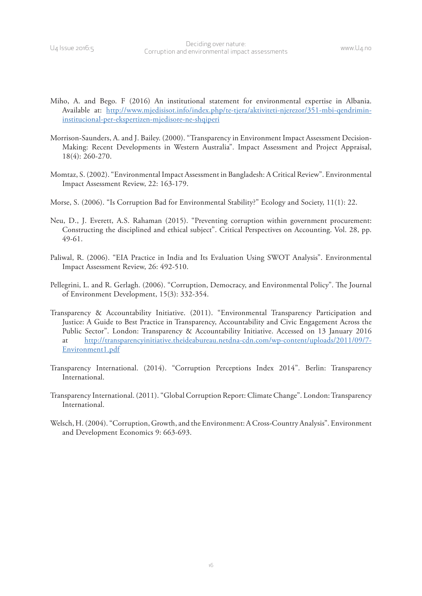- Miho, A. and Bego. F (2016) An institutional statement for environmental expertise in Albania. Available at: [http://www.mjedisisot.info/index.php/te-tjera/aktiviteti-njerezor/351-mbi-qendrimin](http://www.mjedisisot.info/index.php/te-tjera/aktiviteti-njerezor/351-mbi-qendrimin-institucional-per-ekspertizen-mjedisore-ne-shqiperi)[institucional-per-ekspertizen-mjedisore-ne-shqiperi](http://www.mjedisisot.info/index.php/te-tjera/aktiviteti-njerezor/351-mbi-qendrimin-institucional-per-ekspertizen-mjedisore-ne-shqiperi)
- Morrison-Saunders, A. and J. Bailey. (2000). "Transparency in Environment Impact Assessment Decision-Making: Recent Developments in Western Australia". Impact Assessment and Project Appraisal, 18(4): 260-270.
- Momtaz, S. (2002). "Environmental Impact Assessment in Bangladesh: A Critical Review". Environmental Impact Assessment Review, 22: 163-179.
- Morse, S. (2006). "Is Corruption Bad for Environmental Stability?" Ecology and Society, 11(1): 22.
- Neu, D., J. Everett, A.S. Rahaman (2015). "Preventing corruption within government procurement: Constructing the disciplined and ethical subject". Critical Perspectives on Accounting. Vol. 28, pp. 49-61.
- Paliwal, R. (2006). "EIA Practice in India and Its Evaluation Using SWOT Analysis". Environmental Impact Assessment Review, 26: 492-510.
- Pellegrini, L. and R. Gerlagh. (2006). "Corruption, Democracy, and Environmental Policy". The Journal of Environment Development, 15(3): 332-354.
- Transparency & Accountability Initiative. (2011). "Environmental Transparency Participation and Justice: A Guide to Best Practice in Transparency, Accountability and Civic Engagement Across the Public Sector". London: Transparency & Accountability Initiative. Accessed on 13 January 2016 at [http://transparencyinitiative.theideabureau.netdna-cdn.com/wp-content/uploads/2011/09/7-](http://transparencyinitiative.theideabureau.netdna-cdn.com/wp-content/uploads/2011/09/7-Environment1.pdf) [Environment1.pdf](http://transparencyinitiative.theideabureau.netdna-cdn.com/wp-content/uploads/2011/09/7-Environment1.pdf)
- Transparency International. (2014). "Corruption Perceptions Index 2014". Berlin: Transparency International.
- Transparency International. (2011). "Global Corruption Report: Climate Change". London: Transparency International.
- Welsch, H. (2004). "Corruption, Growth, and the Environment: A Cross-Country Analysis". Environment and Development Economics 9: 663-693.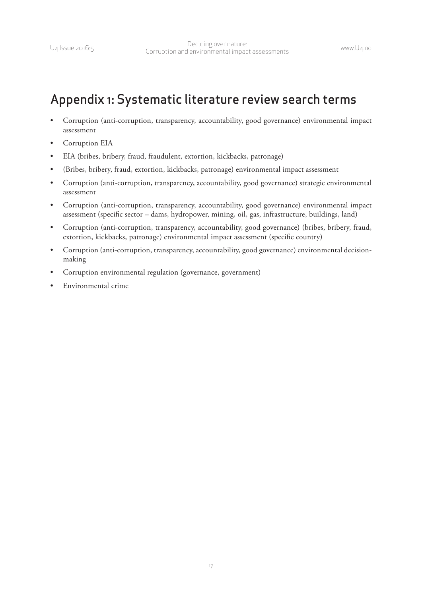<span id="page-22-0"></span>

### Appendix 1: Systematic literature review search terms

- Corruption (anti-corruption, transparency, accountability, good governance) environmental impact assessment
- Corruption EIA
- EIA (bribes, bribery, fraud, fraudulent, extortion, kickbacks, patronage)
- (Bribes, bribery, fraud, extortion, kickbacks, patronage) environmental impact assessment
- Corruption (anti-corruption, transparency, accountability, good governance) strategic environmental assessment
- Corruption (anti-corruption, transparency, accountability, good governance) environmental impact assessment (specific sector – dams, hydropower, mining, oil, gas, infrastructure, buildings, land)
- Corruption (anti-corruption, transparency, accountability, good governance) (bribes, bribery, fraud, extortion, kickbacks, patronage) environmental impact assessment (specific country)
- Corruption (anti-corruption, transparency, accountability, good governance) environmental decisionmaking
- Corruption environmental regulation (governance, government)
- Environmental crime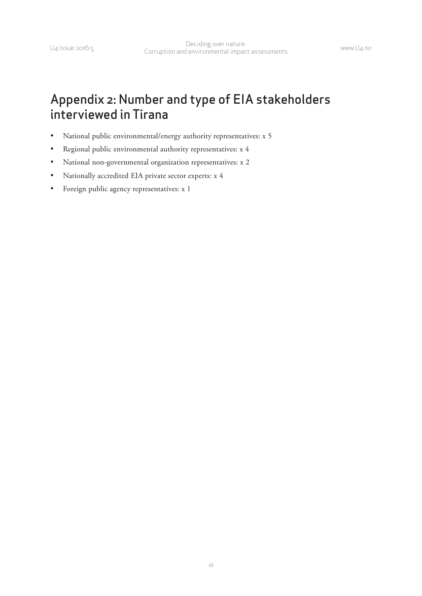### <span id="page-23-0"></span>Appendix 2: Number and type of EIA stakeholders interviewed in Tirana

- National public environmental/energy authority representatives: x 5
- Regional public environmental authority representatives: x 4
- • National non-governmental organization representatives: x 2
- Nationally accredited EIA private sector experts: x 4
- • Foreign public agency representatives: x 1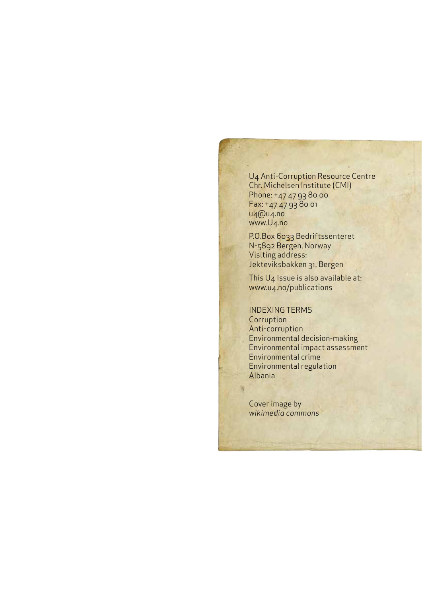U4 Anti-Corruption Resource Centre Chr. Michelsen Institute (CMI) Phone: +47 47 93 80 00 Fax: +47 47 93 80 01 u4@u4.no www.U4.no

P.O.Box 6033 Bedriftssenteret N-5892 Bergen, Norway Visiting address: Jekteviksbakken 31, Bergen

This U4 Issue is also available at: www.u4.no/publications

INDEXING TERMS **Corruption** Anti-corruption Environmental decision-making Environmental impact assessment Environmental crime Environmental regulation Albania

Cover image by *wikimedia commons*